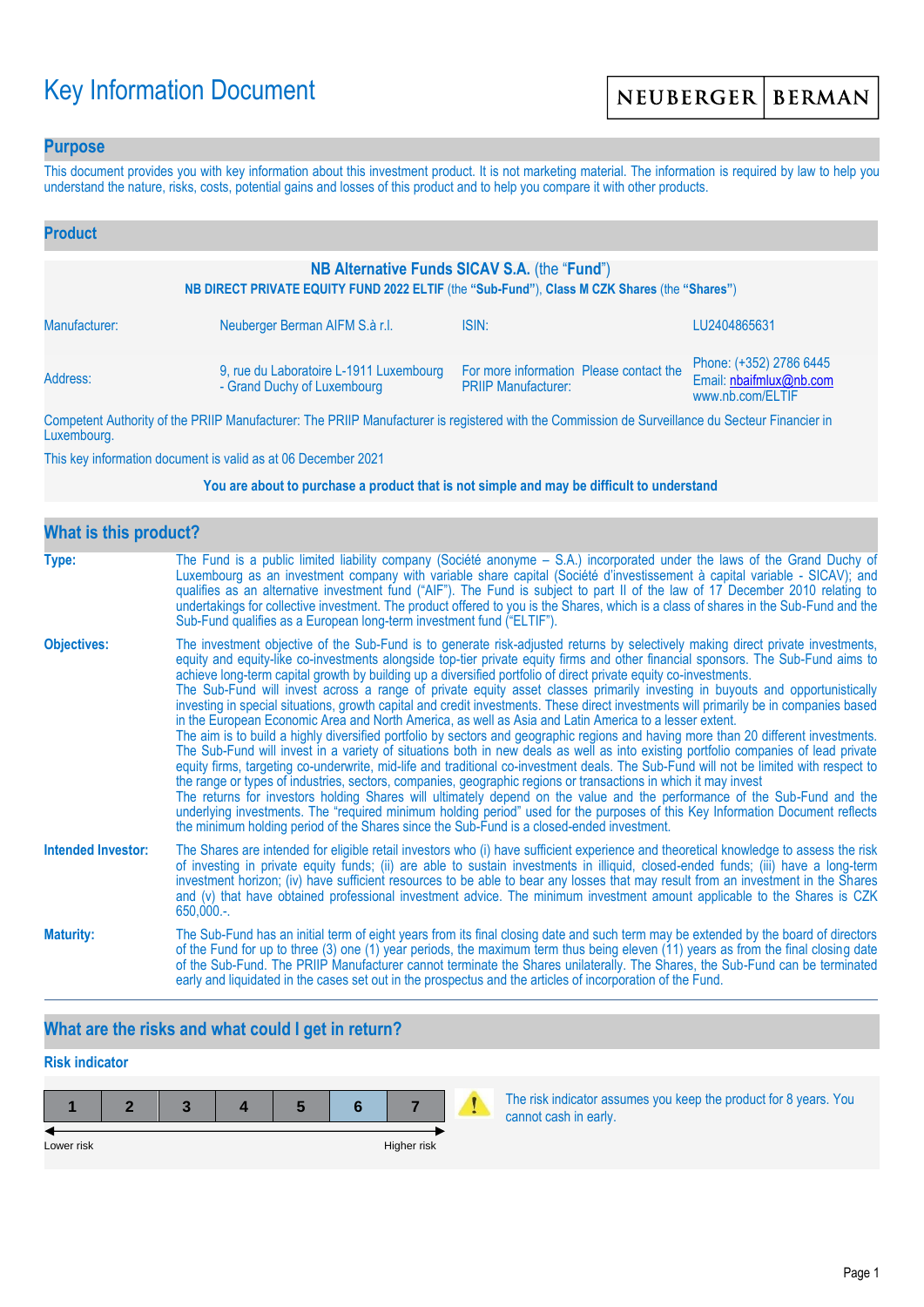# Key Information Document

### **Purpose**

This document provides you with key information about this investment product. It is not marketing material. The information is required by law to help you understand the nature, risks, costs, potential gains and losses of this product and to help you compare it with other products.

| <b>Product</b>                                                                                                                               |                                                                        |                                                                       |                                                                        |  |
|----------------------------------------------------------------------------------------------------------------------------------------------|------------------------------------------------------------------------|-----------------------------------------------------------------------|------------------------------------------------------------------------|--|
| NB Alternative Funds SICAV S.A. (the "Fund")<br>NB DIRECT PRIVATE EQUITY FUND 2022 ELTIF (the "Sub-Fund"), Class M CZK Shares (the "Shares") |                                                                        |                                                                       |                                                                        |  |
| Manufacturer:                                                                                                                                | Neuberger Berman AIFM S.à r.l.                                         | ISIN:                                                                 | LU2404865631                                                           |  |
| Address:                                                                                                                                     | 9, rue du Laboratoire L-1911 Luxembourg<br>- Grand Duchy of Luxembourg | For more information Please contact the<br><b>PRIIP Manufacturer:</b> | Phone: (+352) 2786 6445<br>Email: nbaifmlux@nb.com<br>www.nb.com/ELTIF |  |

Competent Authority of the PRIIP Manufacturer: The PRIIP Manufacturer is registered with the Commission de Surveillance du Secteur Financier in Luxembourg.

This key information document is valid as at 06 December 2021

#### **You are about to purchase a product that is not simple and may be difficult to understand**

| <b>What is this product?</b> |                                                                                                                                                                                                                                                                                                                                                                                                                                                                                                                                                                                                                                                                                                                                                                                                                                                                                                                                                                                                                                                                                                                                                                                                                                                                                                                                                                                                                                                                                                                                                                                                                                                                               |  |  |  |
|------------------------------|-------------------------------------------------------------------------------------------------------------------------------------------------------------------------------------------------------------------------------------------------------------------------------------------------------------------------------------------------------------------------------------------------------------------------------------------------------------------------------------------------------------------------------------------------------------------------------------------------------------------------------------------------------------------------------------------------------------------------------------------------------------------------------------------------------------------------------------------------------------------------------------------------------------------------------------------------------------------------------------------------------------------------------------------------------------------------------------------------------------------------------------------------------------------------------------------------------------------------------------------------------------------------------------------------------------------------------------------------------------------------------------------------------------------------------------------------------------------------------------------------------------------------------------------------------------------------------------------------------------------------------------------------------------------------------|--|--|--|
| Type:                        | The Fund is a public limited liability company (Société anonyme - S.A.) incorporated under the laws of the Grand Duchy of<br>Luxembourg as an investment company with variable share capital (Société d'investissement à capital variable - SICAV); and<br>qualifies as an alternative investment fund ("AIF"). The Fund is subject to part II of the law of 17 December 2010 relating to<br>undertakings for collective investment. The product offered to you is the Shares, which is a class of shares in the Sub-Fund and the<br>Sub-Fund qualifies as a European long-term investment fund ("ELTIF").                                                                                                                                                                                                                                                                                                                                                                                                                                                                                                                                                                                                                                                                                                                                                                                                                                                                                                                                                                                                                                                                    |  |  |  |
| <b>Objectives:</b>           | The investment objective of the Sub-Fund is to generate risk-adjusted returns by selectively making direct private investments,<br>equity and equity-like co-investments alongside top-tier private equity firms and other financial sponsors. The Sub-Fund aims to<br>achieve long-term capital growth by building up a diversified portfolio of direct private equity co-investments.<br>The Sub-Fund will invest across a range of private equity asset classes primarily investing in buyouts and opportunistically<br>investing in special situations, growth capital and credit investments. These direct investments will primarily be in companies based<br>in the European Economic Area and North America, as well as Asia and Latin America to a lesser extent.<br>The aim is to build a highly diversified portfolio by sectors and geographic regions and having more than 20 different investments.<br>The Sub-Fund will invest in a variety of situations both in new deals as well as into existing portfolio companies of lead private<br>equity firms, targeting co-underwrite, mid-life and traditional co-investment deals. The Sub-Fund will not be limited with respect to<br>the range or types of industries, sectors, companies, geographic regions or transactions in which it may invest<br>The returns for investors holding Shares will ultimately depend on the value and the performance of the Sub-Fund and the<br>underlying investments. The "required minimum holding period" used for the purposes of this Key Information Document reflects<br>the minimum holding period of the Shares since the Sub-Fund is a closed-ended investment. |  |  |  |
| <b>Intended Investor:</b>    | The Shares are intended for eligible retail investors who (i) have sufficient experience and theoretical knowledge to assess the risk<br>of investing in private equity funds; (ii) are able to sustain investments in illiquid, closed-ended funds; (iii) have a long-term<br>investment horizon; (iv) have sufficient resources to be able to bear any losses that may result from an investment in the Shares<br>and (v) that have obtained professional investment advice. The minimum investment amount applicable to the Shares is CZK<br>650,000.-.                                                                                                                                                                                                                                                                                                                                                                                                                                                                                                                                                                                                                                                                                                                                                                                                                                                                                                                                                                                                                                                                                                                    |  |  |  |
| <b>Maturity:</b>             | The Sub-Fund has an initial term of eight years from its final closing date and such term may be extended by the board of directors<br>of the Fund for up to three (3) one (1) year periods, the maximum term thus being eleven (11) years as from the final closing date<br>of the Sub-Fund. The PRIIP Manufacturer cannot terminate the Shares unilaterally. The Shares, the Sub-Fund can be terminated<br>early and liquidated in the cases set out in the prospectus and the articles of incorporation of the Fund.                                                                                                                                                                                                                                                                                                                                                                                                                                                                                                                                                                                                                                                                                                                                                                                                                                                                                                                                                                                                                                                                                                                                                       |  |  |  |

# **What are the risks and what could I get in return?**

# **Risk indicator**



The risk indicator assumes you keep the product for 8 years. You cannot cash in early.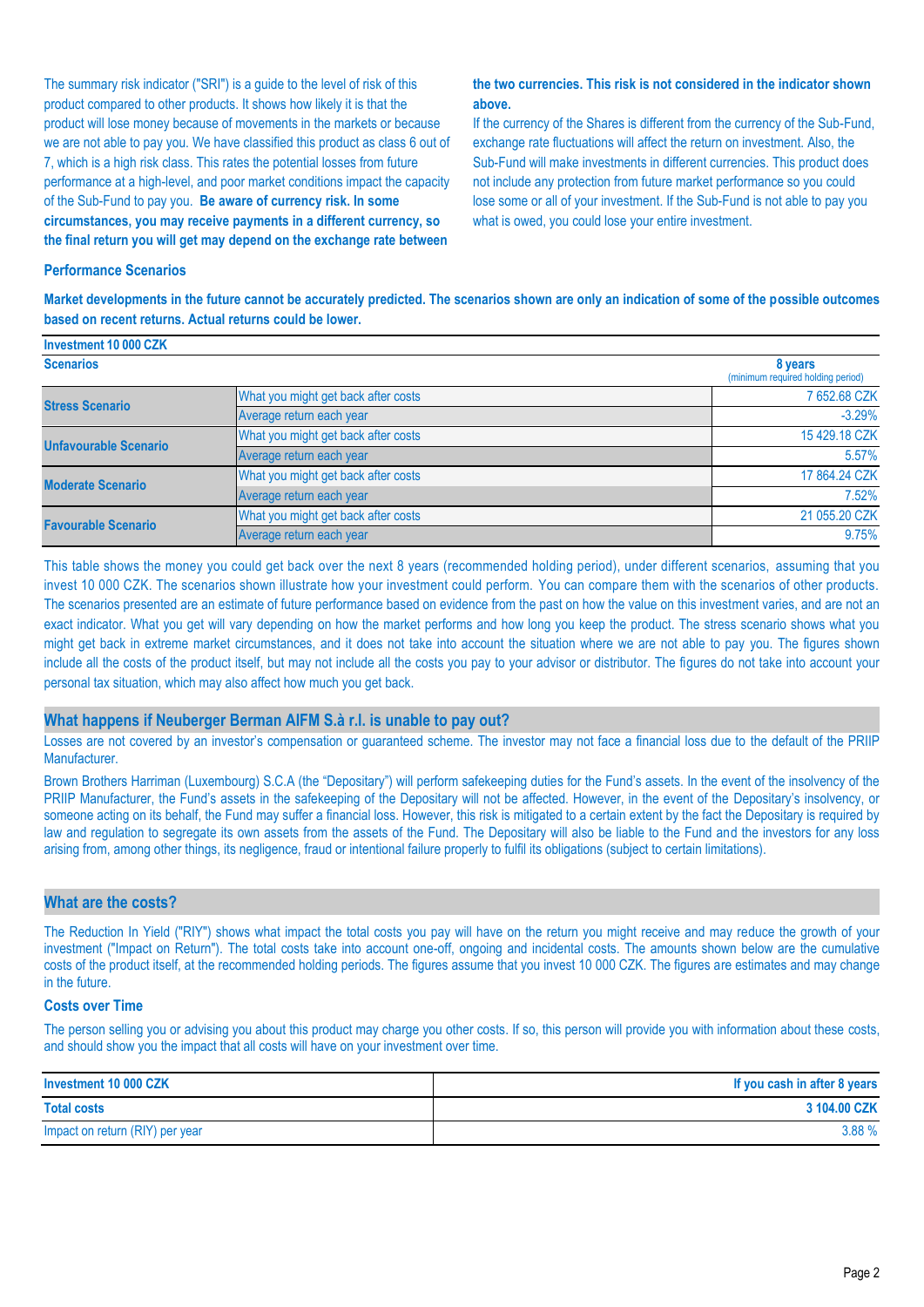The summary risk indicator ("SRI") is a guide to the level of risk of this product compared to other products. It shows how likely it is that the product will lose money because of movements in the markets or because we are not able to pay you. We have classified this product as class 6 out of 7, which is a high risk class. This rates the potential losses from future performance at a high-level, and poor market conditions impact the capacity of the Sub-Fund to pay you. **Be aware of currency risk. In some circumstances, you may receive payments in a different currency, so the final return you will get may depend on the exchange rate between** 

#### **the two currencies. This risk is not considered in the indicator shown above.**

If the currency of the Shares is different from the currency of the Sub-Fund, exchange rate fluctuations will affect the return on investment. Also, the Sub-Fund will make investments in different currencies. This product does not include any protection from future market performance so you could lose some or all of your investment. If the Sub-Fund is not able to pay you what is owed, you could lose your entire investment.

#### **Performance Scenarios**

**Investment 10 000 CZK**

**Market developments in the future cannot be accurately predicted. The scenarios shown are only an indication of some of the possible outcomes based on recent returns. Actual returns could be lower.**

| <b>INVESHIJGHL TU UUU ULIV</b> |                                     |                                              |
|--------------------------------|-------------------------------------|----------------------------------------------|
| <b>Scenarios</b>               |                                     | 8 years<br>(minimum required holding period) |
| <b>Stress Scenario</b>         | What you might get back after costs | 7 652.68 CZK                                 |
|                                | Average return each year            | $-3.29%$                                     |
| <b>Unfavourable Scenario</b>   | What you might get back after costs | 15 429.18 CZK                                |
|                                | Average return each year            | 5.57%                                        |
| <b>Moderate Scenario</b>       | What you might get back after costs | 17 864.24 CZK                                |
|                                | Average return each year            | 7.52%                                        |
| <b>Favourable Scenario</b>     | What you might get back after costs | 21 055.20 CZK                                |
|                                | Average return each year            | 9.75%                                        |

This table shows the money you could get back over the next 8 years (recommended holding period), under different scenarios, assuming that you invest 10 000 CZK. The scenarios shown illustrate how your investment could perform. You can compare them with the scenarios of other products. The scenarios presented are an estimate of future performance based on evidence from the past on how the value on this investment varies, and are not an exact indicator. What you get will vary depending on how the market performs and how long you keep the product. The stress scenario shows what you might get back in extreme market circumstances, and it does not take into account the situation where we are not able to pay you. The figures shown include all the costs of the product itself, but may not include all the costs you pay to your advisor or distributor. The figures do not take into account your personal tax situation, which may also affect how much you get back.

#### **What happens if Neuberger Berman AIFM S.à r.l. is unable to pay out?**

Losses are not covered by an investor's compensation or guaranteed scheme. The investor may not face a financial loss due to the default of the PRIIP Manufacturer.

Brown Brothers Harriman (Luxembourg) S.C.A (the "Depositary") will perform safekeeping duties for the Fund's assets. In the event of the insolvency of the PRIIP Manufacturer, the Fund's assets in the safekeeping of the Depositary will not be affected. However, in the event of the Depositary's insolvency, or someone acting on its behalf, the Fund may suffer a financial loss. However, this risk is mitigated to a certain extent by the fact the Depositary is required by law and regulation to segregate its own assets from the assets of the Fund. The Depositary will also be liable to the Fund and the investors for any loss arising from, among other things, its negligence, fraud or intentional failure properly to fulfil its obligations (subject to certain limitations).

#### **What are the costs?**

The Reduction In Yield ("RIY") shows what impact the total costs you pay will have on the return you might receive and may reduce the growth of your investment ("Impact on Return"). The total costs take into account one-off, ongoing and incidental costs. The amounts shown below are the cumulative costs of the product itself, at the recommended holding periods. The figures assume that you invest 10 000 CZK. The figures are estimates and may change in the future.

#### **Costs over Time**

The person selling you or advising you about this product may charge you other costs. If so, this person will provide you with information about these costs, and should show you the impact that all costs will have on your investment over time.

| Investment 10 000 CZK           | If you cash in after 8 years |
|---------------------------------|------------------------------|
| <b>Total costs</b>              | 3 104.00 CZK                 |
| Impact on return (RIY) per year | 3.88%                        |